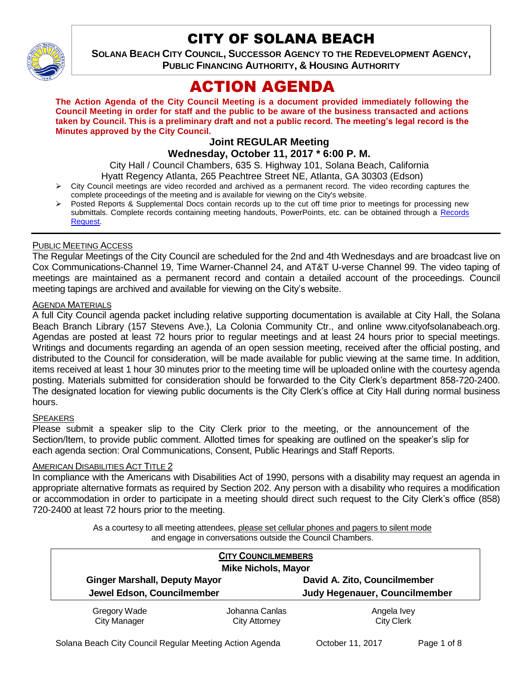

## CITY OF SOLANA BEACH

**SOLANA BEACH CITY COUNCIL, SUCCESSOR AGENCY TO THE REDEVELOPMENT AGENCY, PUBLIC FINANCING AUTHORITY, & HOUSING AUTHORITY** 

# ACTION AGENDA

**The Action Agenda of the City Council Meeting is a document provided immediately following the Council Meeting in order for staff and the public to be aware of the business transacted and actions taken by Council. This is a preliminary draft and not a public record. The meeting's legal record is the Minutes approved by the City Council.**

## **Joint REGULAR Meeting**

**Wednesday, October 11, 2017 \* 6:00 P. M.**

City Hall / Council Chambers, 635 S. Highway 101, Solana Beach, California

- Hyatt Regency Atlanta, 265 Peachtree Street NE, Atlanta, GA 30303 (Edson)  $\triangleright$  City Council meetings are video recorded and archived as a permanent record. The video recording captures the
- complete proceedings of the meeting and is available for viewing on the City's website.
- Posted Reports & Supplemental Docs contain records up to the cut off time prior to meetings for processing new submittals. Complete records containing meeting handouts, PowerPoints, etc. can be obtained through a Records [Request.](http://www.ci.solana-beach.ca.us/index.asp?SEC=F5D45D10-70CE-4291-A27C-7BD633FC6742&Type=B_BASIC)

#### PUBLIC MEETING ACCESS

The Regular Meetings of the City Council are scheduled for the 2nd and 4th Wednesdays and are broadcast live on Cox Communications-Channel 19, Time Warner-Channel 24, and AT&T U-verse Channel 99. The video taping of meetings are maintained as a permanent record and contain a detailed account of the proceedings. Council meeting tapings are archived and available for viewing on the City's website.

#### **AGENDA MATERIALS**

A full City Council agenda packet including relative supporting documentation is available at City Hall, the Solana Beach Branch Library (157 Stevens Ave.), La Colonia Community Ctr., and online www.cityofsolanabeach.org. Agendas are posted at least 72 hours prior to regular meetings and at least 24 hours prior to special meetings. Writings and documents regarding an agenda of an open session meeting, received after the official posting, and distributed to the Council for consideration, will be made available for public viewing at the same time. In addition, items received at least 1 hour 30 minutes prior to the meeting time will be uploaded online with the courtesy agenda posting. Materials submitted for consideration should be forwarded to the City Clerk's department 858-720-2400. The designated location for viewing public documents is the City Clerk's office at City Hall during normal business hours.

#### **SPEAKERS**

Please submit a speaker slip to the City Clerk prior to the meeting, or the announcement of the Section/Item, to provide public comment. Allotted times for speaking are outlined on the speaker's slip for each agenda section: Oral Communications, Consent, Public Hearings and Staff Reports.

#### **AMERICAN DISABILITIES ACT TITLE 2**

In compliance with the Americans with Disabilities Act of 1990, persons with a disability may request an agenda in appropriate alternative formats as required by Section 202. Any person with a disability who requires a modification or accommodation in order to participate in a meeting should direct such request to the City Clerk's office (858) 720-2400 at least 72 hours prior to the meeting.

> As a courtesy to all meeting attendees, please set cellular phones and pagers to silent mode and engage in conversations outside the Council Chambers.

| <b>CITY COUNCILMEMBERS</b><br><b>Mike Nichols, Mayor</b> |                |                               |
|----------------------------------------------------------|----------------|-------------------------------|
| <b>Ginger Marshall, Deputy Mayor</b>                     |                | David A. Zito, Councilmember  |
| Jewel Edson, Councilmember                               |                | Judy Hegenauer, Councilmember |
| Gregory Wade                                             | Johanna Canlas | Angela Ivey                   |
| <b>City Manager</b>                                      | City Attorney  | <b>City Clerk</b>             |

Solana Beach City Council Regular Meeting Action Agenda October 11, 2017 Page 1 of 8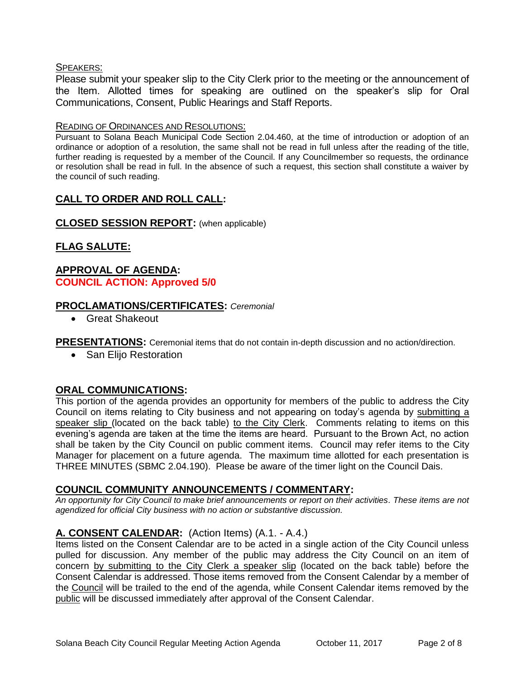#### SPEAKERS:

Please submit your speaker slip to the City Clerk prior to the meeting or the announcement of the Item. Allotted times for speaking are outlined on the speaker's slip for Oral Communications, Consent, Public Hearings and Staff Reports.

#### READING OF ORDINANCES AND RESOLUTIONS:

Pursuant to Solana Beach Municipal Code Section 2.04.460, at the time of introduction or adoption of an ordinance or adoption of a resolution, the same shall not be read in full unless after the reading of the title, further reading is requested by a member of the Council. If any Councilmember so requests, the ordinance or resolution shall be read in full. In the absence of such a request, this section shall constitute a waiver by the council of such reading.

## **CALL TO ORDER AND ROLL CALL:**

## **CLOSED SESSION REPORT:** (when applicable)

## **FLAG SALUTE:**

## **APPROVAL OF AGENDA: COUNCIL ACTION: Approved 5/0**

## **PROCLAMATIONS/CERTIFICATES:** *Ceremonial*

Great Shakeout

**PRESENTATIONS:** Ceremonial items that do not contain in-depth discussion and no action/direction.

• San Elijo Restoration

## **ORAL COMMUNICATIONS:**

This portion of the agenda provides an opportunity for members of the public to address the City Council on items relating to City business and not appearing on today's agenda by submitting a speaker slip (located on the back table) to the City Clerk. Comments relating to items on this evening's agenda are taken at the time the items are heard. Pursuant to the Brown Act, no action shall be taken by the City Council on public comment items. Council may refer items to the City Manager for placement on a future agenda. The maximum time allotted for each presentation is THREE MINUTES (SBMC 2.04.190). Please be aware of the timer light on the Council Dais.

## **COUNCIL COMMUNITY ANNOUNCEMENTS / COMMENTARY:**

*An opportunity for City Council to make brief announcements or report on their activities. These items are not agendized for official City business with no action or substantive discussion.* 

## **A. CONSENT CALENDAR:** (Action Items) (A.1. - A.4.)

Items listed on the Consent Calendar are to be acted in a single action of the City Council unless pulled for discussion. Any member of the public may address the City Council on an item of concern by submitting to the City Clerk a speaker slip (located on the back table) before the Consent Calendar is addressed. Those items removed from the Consent Calendar by a member of the Council will be trailed to the end of the agenda, while Consent Calendar items removed by the public will be discussed immediately after approval of the Consent Calendar.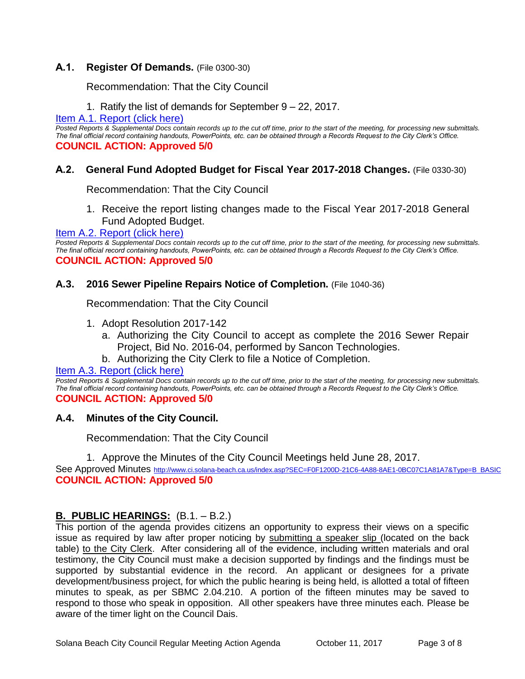## **A.1. Register Of Demands.** (File 0300-30)

Recommendation: That the City Council

1. Ratify the list of demands for September 9 – 22, 2017.

[Item A.1. Report \(click here\)](https://solanabeach.govoffice3.com/vertical/Sites/%7B840804C2-F869-4904-9AE3-720581350CE7%7D/uploads/Item_A.1._Report_(click_here)_10-11-17.PDF)

*Posted Reports & Supplemental Docs contain records up to the cut off time, prior to the start of the meeting, for processing new submittals. The final official record containing handouts, PowerPoints, etc. can be obtained through a Records Request to the City Clerk's Office.* **COUNCIL ACTION: Approved 5/0**

## **A.2. General Fund Adopted Budget for Fiscal Year 2017-2018 Changes.** (File 0330-30)

Recommendation: That the City Council

1. Receive the report listing changes made to the Fiscal Year 2017-2018 General Fund Adopted Budget.

[Item A.2. Report \(click here\)](https://solanabeach.govoffice3.com/vertical/Sites/%7B840804C2-F869-4904-9AE3-720581350CE7%7D/uploads/Item_A.2._Report_(click_here)_10-11-17.PDF)

*Posted Reports & Supplemental Docs contain records up to the cut off time, prior to the start of the meeting, for processing new submittals. The final official record containing handouts, PowerPoints, etc. can be obtained through a Records Request to the City Clerk's Office.* **COUNCIL ACTION: Approved 5/0**

#### **A.3. 2016 Sewer Pipeline Repairs Notice of Completion.** (File 1040-36)

Recommendation: That the City Council

- 1. Adopt Resolution 2017-142
	- a. Authorizing the City Council to accept as complete the 2016 Sewer Repair Project, Bid No. 2016-04, performed by Sancon Technologies.
	- b. Authorizing the City Clerk to file a Notice of Completion.

#### [Item A.3. Report \(click here\)](https://solanabeach.govoffice3.com/vertical/Sites/%7B840804C2-F869-4904-9AE3-720581350CE7%7D/uploads/Item_A.3._Report_(click_here)_10-11-17_.PDF)

*Posted Reports & Supplemental Docs contain records up to the cut off time, prior to the start of the meeting, for processing new submittals. The final official record containing handouts, PowerPoints, etc. can be obtained through a Records Request to the City Clerk's Office.* **COUNCIL ACTION: Approved 5/0**

#### **A.4. Minutes of the City Council.**

Recommendation: That the City Council

1. Approve the Minutes of the City Council Meetings held June 28, 2017.

See Approved Minutes [http://www.ci.solana-beach.ca.us/index.asp?SEC=F0F1200D-21C6-4A88-8AE1-0BC07C1A81A7&Type=B\\_BASIC](http://www.ci.solana-beach.ca.us/index.asp?SEC=F0F1200D-21C6-4A88-8AE1-0BC07C1A81A7&Type=B_BASIC) **COUNCIL ACTION: Approved 5/0**

## **B. PUBLIC HEARINGS:** (B.1. – B.2.)

This portion of the agenda provides citizens an opportunity to express their views on a specific issue as required by law after proper noticing by submitting a speaker slip (located on the back table) to the City Clerk. After considering all of the evidence, including written materials and oral testimony, the City Council must make a decision supported by findings and the findings must be supported by substantial evidence in the record. An applicant or designees for a private development/business project, for which the public hearing is being held, is allotted a total of fifteen minutes to speak, as per SBMC 2.04.210. A portion of the fifteen minutes may be saved to respond to those who speak in opposition. All other speakers have three minutes each. Please be aware of the timer light on the Council Dais.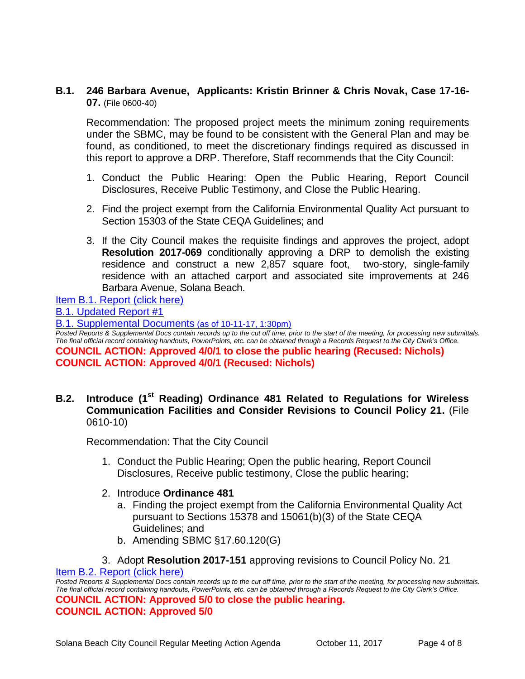## **B.1. 246 Barbara Avenue, Applicants: Kristin Brinner & Chris Novak, Case 17-16- 07.** (File 0600-40)

Recommendation: The proposed project meets the minimum zoning requirements under the SBMC, may be found to be consistent with the General Plan and may be found, as conditioned, to meet the discretionary findings required as discussed in this report to approve a DRP. Therefore, Staff recommends that the City Council:

- 1. Conduct the Public Hearing: Open the Public Hearing, Report Council Disclosures, Receive Public Testimony, and Close the Public Hearing.
- 2. Find the project exempt from the California Environmental Quality Act pursuant to Section 15303 of the State CEQA Guidelines; and
- 3. If the City Council makes the requisite findings and approves the project, adopt **Resolution 2017-069** conditionally approving a DRP to demolish the existing residence and construct a new 2,857 square foot, two-story, single-family residence with an attached carport and associated site improvements at 246 Barbara Avenue, Solana Beach.

[Item B.1. Report \(click here\)](https://solanabeach.govoffice3.com/vertical/Sites/%7B840804C2-F869-4904-9AE3-720581350CE7%7D/uploads/Item_B.1._Report_(click_here)_10-11-17.PDF)

[B.1. Updated Report #1](https://solanabeach.govoffice3.com/vertical/Sites/%7B840804C2-F869-4904-9AE3-720581350CE7%7D/uploads/B.1._Updated_Report_1(4).pdf)

[B.1. Supplemental Documents](https://solanabeach.govoffice3.com/vertical/Sites/%7B840804C2-F869-4904-9AE3-720581350CE7%7D/uploads/B.1._Supplemental_Documents_10-11_(130pm).pdf) (as of 10-11-17, 1:30pm)

*Posted Reports & Supplemental Docs contain records up to the cut off time, prior to the start of the meeting, for processing new submittals. The final official record containing handouts, PowerPoints, etc. can be obtained through a Records Request to the City Clerk's Office.* **COUNCIL ACTION: Approved 4/0/1 to close the public hearing (Recused: Nichols) COUNCIL ACTION: Approved 4/0/1 (Recused: Nichols)**

## **B.2. Introduce (1st Reading) Ordinance 481 Related to Regulations for Wireless Communication Facilities and Consider Revisions to Council Policy 21.** (File 0610-10)

Recommendation: That the City Council

- 1. Conduct the Public Hearing; Open the public hearing, Report Council Disclosures, Receive public testimony, Close the public hearing;
- 2. Introduce **Ordinance 481**
	- a. Finding the project exempt from the California Environmental Quality Act pursuant to Sections 15378 and 15061(b)(3) of the State CEQA Guidelines; and
	- b. Amending SBMC §17.60.120(G)

3. Adopt **Resolution 2017-151** approving revisions to Council Policy No. 21 [Item B.2. Report \(click here\)](https://solanabeach.govoffice3.com/vertical/Sites/%7B840804C2-F869-4904-9AE3-720581350CE7%7D/uploads/Item_B.2._Report_(click_here)_10-11-17.PDF)

*Posted Reports & Supplemental Docs contain records up to the cut off time, prior to the start of the meeting, for processing new submittals. The final official record containing handouts, PowerPoints, etc. can be obtained through a Records Request to the City Clerk's Office.* **COUNCIL ACTION: Approved 5/0 to close the public hearing. COUNCIL ACTION: Approved 5/0**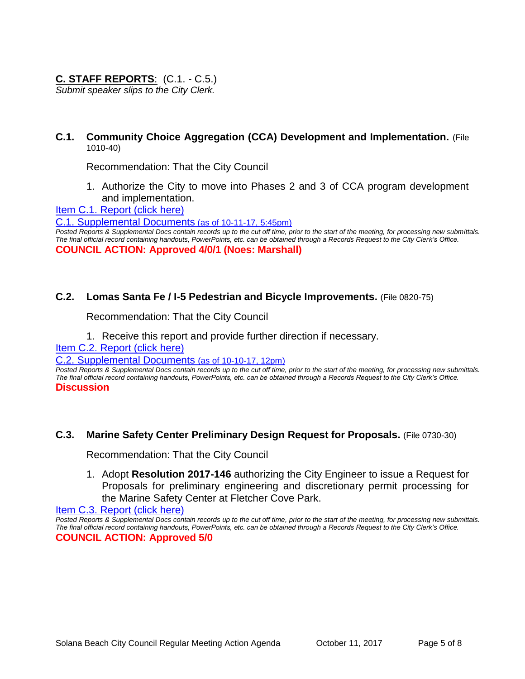## **C. STAFF REPORTS**: (C.1. - C.5.)

*Submit speaker slips to the City Clerk.*

**C.1. Community Choice Aggregation (CCA) Development and Implementation.** (File 1010-40)

Recommendation: That the City Council

1. Authorize the City to move into Phases 2 and 3 of CCA program development and implementation.

[Item C.1. Report \(click here\)](https://solanabeach.govoffice3.com/vertical/Sites/%7B840804C2-F869-4904-9AE3-720581350CE7%7D/uploads/Item_C.1._Report_(click_here)_10-11-17.PDF)

[C.1. Supplemental Documents](https://solanabeach.govoffice3.com/vertical/Sites/%7B840804C2-F869-4904-9AE3-720581350CE7%7D/uploads/C.1._Supplemental_Documents_-_10-11_(545pm).PDF) (as of 10-11-17, 5:45pm)

*Posted Reports & Supplemental Docs contain records up to the cut off time, prior to the start of the meeting, for processing new submittals. The final official record containing handouts, PowerPoints, etc. can be obtained through a Records Request to the City Clerk's Office.* **COUNCIL ACTION: Approved 4/0/1 (Noes: Marshall)**

#### **C.2. Lomas Santa Fe / I-5 Pedestrian and Bicycle Improvements.** (File 0820-75)

Recommendation: That the City Council

#### 1. Receive this report and provide further direction if necessary.

[Item C.2. Report \(click here\)](https://solanabeach.govoffice3.com/vertical/Sites/%7B840804C2-F869-4904-9AE3-720581350CE7%7D/uploads/Item_C.2._Report_(click_here)_10-11-17.PDF)

#### [C.2. Supplemental Documents](https://solanabeach.govoffice3.com/vertical/Sites/%7B840804C2-F869-4904-9AE3-720581350CE7%7D/uploads/C.2._Supplemental_Documents_(10-10_12pm).pdf) (as of 10-10-17, 12pm)

*Posted Reports & Supplemental Docs contain records up to the cut off time, prior to the start of the meeting, for processing new submittals. The final official record containing handouts, PowerPoints, etc. can be obtained through a Records Request to the City Clerk's Office.* **Discussion**

#### **C.3. Marine Safety Center Preliminary Design Request for Proposals.** (File 0730-30)

Recommendation: That the City Council

1. Adopt **Resolution 2017-146** authorizing the City Engineer to issue a Request for Proposals for preliminary engineering and discretionary permit processing for the Marine Safety Center at Fletcher Cove Park.

[Item C.3. Report \(click here\)](https://solanabeach.govoffice3.com/vertical/Sites/%7B840804C2-F869-4904-9AE3-720581350CE7%7D/uploads/Item_C.3._Report_(click_here)_10-11-17.PDF) 

*Posted Reports & Supplemental Docs contain records up to the cut off time, prior to the start of the meeting, for processing new submittals. The final official record containing handouts, PowerPoints, etc. can be obtained through a Records Request to the City Clerk's Office.* **COUNCIL ACTION: Approved 5/0**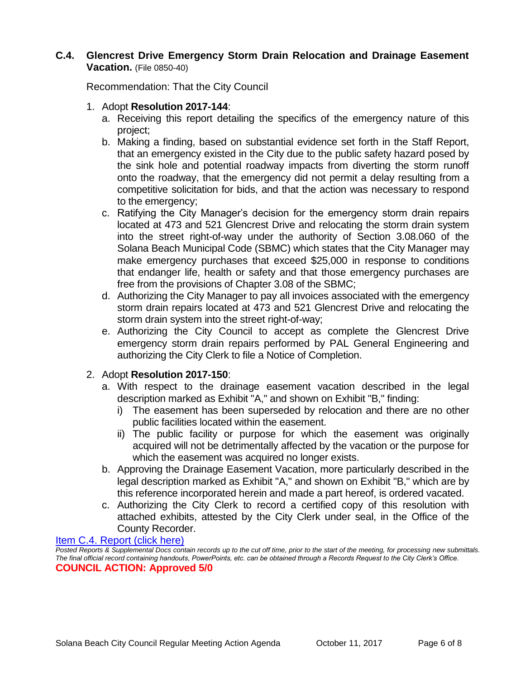## **C.4. Glencrest Drive Emergency Storm Drain Relocation and Drainage Easement Vacation.** (File 0850-40)

Recommendation: That the City Council

- 1. Adopt **Resolution 2017-144**:
	- a. Receiving this report detailing the specifics of the emergency nature of this project;
	- b. Making a finding, based on substantial evidence set forth in the Staff Report, that an emergency existed in the City due to the public safety hazard posed by the sink hole and potential roadway impacts from diverting the storm runoff onto the roadway, that the emergency did not permit a delay resulting from a competitive solicitation for bids, and that the action was necessary to respond to the emergency;
	- c. Ratifying the City Manager's decision for the emergency storm drain repairs located at 473 and 521 Glencrest Drive and relocating the storm drain system into the street right-of-way under the authority of Section 3.08.060 of the Solana Beach Municipal Code (SBMC) which states that the City Manager may make emergency purchases that exceed \$25,000 in response to conditions that endanger life, health or safety and that those emergency purchases are free from the provisions of Chapter 3.08 of the SBMC;
	- d. Authorizing the City Manager to pay all invoices associated with the emergency storm drain repairs located at 473 and 521 Glencrest Drive and relocating the storm drain system into the street right-of-way;
	- e. Authorizing the City Council to accept as complete the Glencrest Drive emergency storm drain repairs performed by PAL General Engineering and authorizing the City Clerk to file a Notice of Completion.

## 2. Adopt **Resolution 2017-150**:

- a. With respect to the drainage easement vacation described in the legal description marked as Exhibit "A," and shown on Exhibit "B," finding:
	- i) The easement has been superseded by relocation and there are no other public facilities located within the easement.
	- ii) The public facility or purpose for which the easement was originally acquired will not be detrimentally affected by the vacation or the purpose for which the easement was acquired no longer exists.
- b. Approving the Drainage Easement Vacation, more particularly described in the legal description marked as Exhibit "A," and shown on Exhibit "B," which are by this reference incorporated herein and made a part hereof, is ordered vacated.
- c. Authorizing the City Clerk to record a certified copy of this resolution with attached exhibits, attested by the City Clerk under seal, in the Office of the County Recorder.

#### [Item C.4. Report \(click here\)](https://solanabeach.govoffice3.com/vertical/Sites/%7B840804C2-F869-4904-9AE3-720581350CE7%7D/uploads/Item_C.4._Report_(click_here)_10-11-17.PDF)

*Posted Reports & Supplemental Docs contain records up to the cut off time, prior to the start of the meeting, for processing new submittals. The final official record containing handouts, PowerPoints, etc. can be obtained through a Records Request to the City Clerk's Office.* **COUNCIL ACTION: Approved 5/0**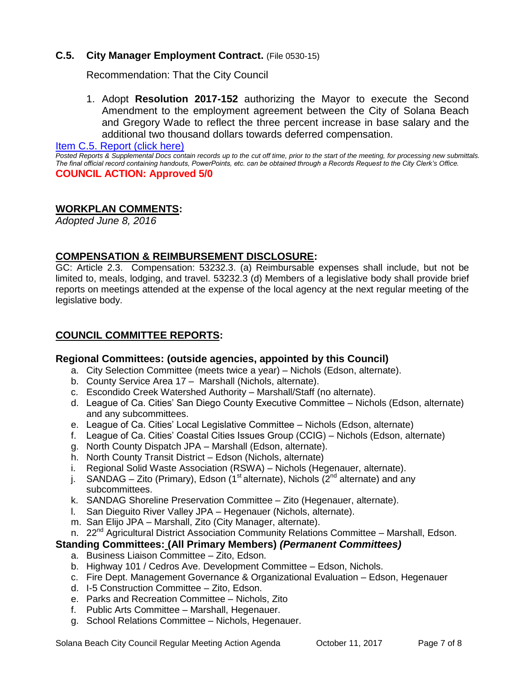## **C.5. City Manager Employment Contract.** (File 0530-15)

Recommendation: That the City Council

1. Adopt **Resolution 2017-152** authorizing the Mayor to execute the Second Amendment to the employment agreement between the City of Solana Beach and Gregory Wade to reflect the three percent increase in base salary and the additional two thousand dollars towards deferred compensation.

[Item C.5. Report \(click here\)](https://solanabeach.govoffice3.com/vertical/Sites/%7B840804C2-F869-4904-9AE3-720581350CE7%7D/uploads/Item_C.5._Report_(click_here)_10-11-17.PDF) 

*Posted Reports & Supplemental Docs contain records up to the cut off time, prior to the start of the meeting, for processing new submittals. The final official record containing handouts, PowerPoints, etc. can be obtained through a Records Request to the City Clerk's Office.* **COUNCIL ACTION: Approved 5/0**

## **WORKPLAN COMMENTS:**

*Adopted June 8, 2016*

## **COMPENSATION & REIMBURSEMENT DISCLOSURE:**

GC: Article 2.3. Compensation: 53232.3. (a) Reimbursable expenses shall include, but not be limited to, meals, lodging, and travel. 53232.3 (d) Members of a legislative body shall provide brief reports on meetings attended at the expense of the local agency at the next regular meeting of the legislative body.

## **COUNCIL COMMITTEE REPORTS:**

#### **Regional Committees: (outside agencies, appointed by this Council)**

- a. City Selection Committee (meets twice a year) Nichols (Edson, alternate).
- b. County Service Area 17 Marshall (Nichols, alternate).
- c. Escondido Creek Watershed Authority Marshall/Staff (no alternate).
- d. League of Ca. Cities' San Diego County Executive Committee Nichols (Edson, alternate) and any subcommittees.
- e. League of Ca. Cities' Local Legislative Committee Nichols (Edson, alternate)
- f. League of Ca. Cities' Coastal Cities Issues Group (CCIG) Nichols (Edson, alternate)
- g. North County Dispatch JPA Marshall (Edson, alternate).
- h. North County Transit District Edson (Nichols, alternate)
- i. Regional Solid Waste Association (RSWA) Nichols (Hegenauer, alternate).
- j. SANDAG Zito (Primary), Edson (1<sup>st</sup> alternate), Nichols ( $2<sup>nd</sup>$  alternate) and any subcommittees.
- k. SANDAG Shoreline Preservation Committee Zito (Hegenauer, alternate).
- l. San Dieguito River Valley JPA Hegenauer (Nichols, alternate).
- m. San Elijo JPA Marshall, Zito (City Manager, alternate).
- n. 22<sup>nd</sup> Agricultural District Association Community Relations Committee Marshall, Edson.

## **Standing Committees: (All Primary Members)** *(Permanent Committees)*

- a. Business Liaison Committee Zito, Edson.
- b. Highway 101 / Cedros Ave. Development Committee Edson, Nichols.
- c. Fire Dept. Management Governance & Organizational Evaluation Edson, Hegenauer
- d. I-5 Construction Committee Zito, Edson.
- e. Parks and Recreation Committee Nichols, Zito
- f. Public Arts Committee Marshall, Hegenauer.
- g. School Relations Committee Nichols, Hegenauer.